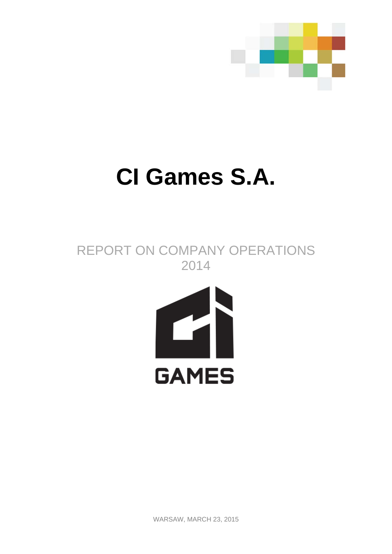

# **CI Games S.A.**

REPORT ON COMPANY OPERATIONS 2014



WARSAW, MARCH 23, 2015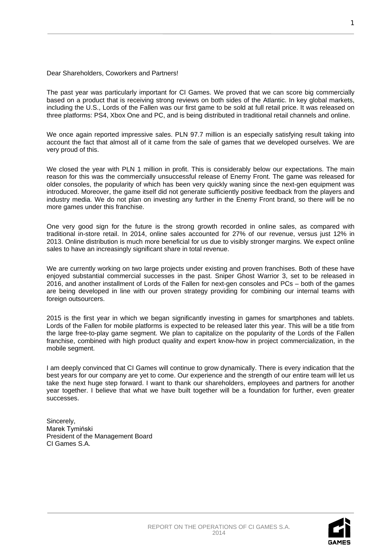## Dear Shareholders, Coworkers and Partners!

The past year was particularly important for CI Games. We proved that we can score big commercially based on a product that is receiving strong reviews on both sides of the Atlantic. In key global markets, including the U.S., Lords of the Fallen was our first game to be sold at full retail price. It was released on three platforms: PS4, Xbox One and PC, and is being distributed in traditional retail channels and online.

We once again reported impressive sales. PLN 97.7 million is an especially satisfying result taking into account the fact that almost all of it came from the sale of games that we developed ourselves. We are very proud of this.

We closed the year with PLN 1 million in profit. This is considerably below our expectations. The main reason for this was the commercially unsuccessful release of Enemy Front. The game was released for older consoles, the popularity of which has been very quickly waning since the next-gen equipment was introduced. Moreover, the game itself did not generate sufficiently positive feedback from the players and industry media. We do not plan on investing any further in the Enemy Front brand, so there will be no more games under this franchise.

One very good sign for the future is the strong growth recorded in online sales, as compared with traditional in-store retail. In 2014, online sales accounted for 27% of our revenue, versus just 12% in 2013. Online distribution is much more beneficial for us due to visibly stronger margins. We expect online sales to have an increasingly significant share in total revenue.

We are currently working on two large projects under existing and proven franchises. Both of these have enjoyed substantial commercial successes in the past. Sniper Ghost Warrior 3, set to be released in 2016, and another installment of Lords of the Fallen for next-gen consoles and PCs – both of the games are being developed in line with our proven strategy providing for combining our internal teams with foreign outsourcers.

2015 is the first year in which we began significantly investing in games for smartphones and tablets. Lords of the Fallen for mobile platforms is expected to be released later this year. This will be a title from the large free-to-play game segment. We plan to capitalize on the popularity of the Lords of the Fallen franchise, combined with high product quality and expert know-how in project commercialization, in the mobile segment.

I am deeply convinced that CI Games will continue to grow dynamically. There is every indication that the best years for our company are yet to come. Our experience and the strength of our entire team will let us take the next huge step forward. I want to thank our shareholders, employees and partners for another year together. I believe that what we have built together will be a foundation for further, even greater successes.

Sincerely, Marek Tymiński President of the Management Board CI Games S.A.

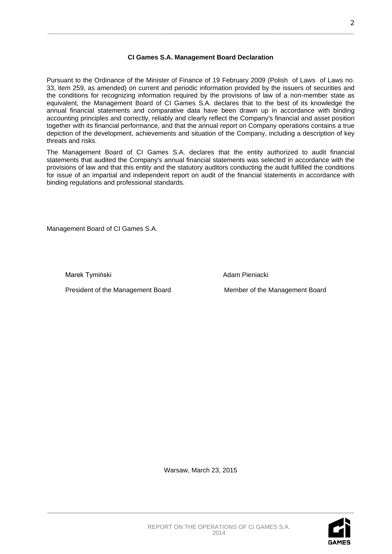## **CI Games S.A. Management Board Declaration**

Pursuant to the Ordinance of the Minister of Finance of 19 February 2009 (Polish of Laws of Laws no. 33, item 259, as amended) on current and periodic information provided by the issuers of securities and the conditions for recognizing information required by the provisions of law of a non-member state as equivalent, the Management Board of CI Games S.A. declares that to the best of its knowledge the annual financial statements and comparative data have been drawn up in accordance with binding accounting principles and correctly, reliably and clearly reflect the Company's financial and asset position together with its financial performance, and that the annual report on Company operations contains a true depiction of the development, achievements and situation of the Company, including a description of key threats and risks.

The Management Board of CI Games S.A. declares that the entity authorized to audit financial statements that audited the Company's annual financial statements was selected in accordance with the provisions of law and that this entity and the statutory auditors conducting the audit fulfilled the conditions for issue of an impartial and independent report on audit of the financial statements in accordance with binding regulations and professional standards.

Management Board of CI Games S.A.

Marek Tymiński **Adam Pieniacki** Adam Pieniacki

President of the Management Board Member of the Management Board

Warsaw, March 23, 2015

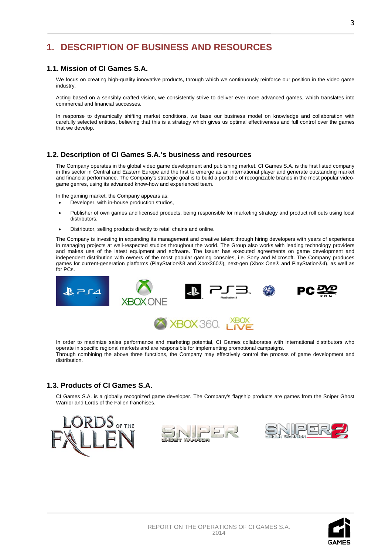## **1. DESCRIPTION OF BUSINESS AND RESOURCES**

## **1.1. Mission of CI Games S.A.**

We focus on creating high-quality innovative products, through which we continuously reinforce our position in the video game industry.

Acting based on a sensibly crafted vision, we consistently strive to deliver ever more advanced games, which translates into commercial and financial successes.

In response to dynamically shifting market conditions, we base our business model on knowledge and collaboration with carefully selected [entities,](javascript:void(0)) believing that this is a strategy which gives us optimal effectiveness and full control over the games that we develop.

## **1.2. Description of CI Games S.A.'s business and resources**

The Company operates in the global video game development and publishing market. CI Games S.A. is the first listed company in this sector in Central and Eastern Europe and the first to emerge as an international player and generate outstanding market and financial performance. The Company's strategic goal is to build a portfolio of recognizable brands in the most popular videogame genres, using its advanced know-how and experienced team.

In the gaming market, the Company appears as:

- Developer, with in-house production studios,
- Publisher of own games and licensed products, being responsible for marketing strategy and product roll outs using local distributors,
- Distributor, selling products directly to retail chains and online.

The Company is investing in expanding its management and creative talent through hiring developers with years of experience in managing projects at well-respected studios throughout the world. The Group also works with leading technology providers and makes use of the latest equipment and software. The Issuer has executed agreements on game development and independent distribution with owners of the most popular gaming consoles, i.e. Sony and Microsoft. The Company produces games for current-generation platforms (PlayStation®3 and Xbox360®), next-gen (Xbox One® and PlayStation®4), as well as for PCs.



In order to maximize sales performance and marketing potential, CI Games collaborates with international distributors who operate in specific regional markets and are responsible for implementing promotional campaigns. Through combining the above three functions, the Company may effectively control the process of game development and distribution.

## **1.3. Products of CI Games S.A.**

CI Games S.A. is a globally recognized game developer. The Company's flagship products are games from the Sniper Ghost Warrior and Lords of the Fallen franchises.







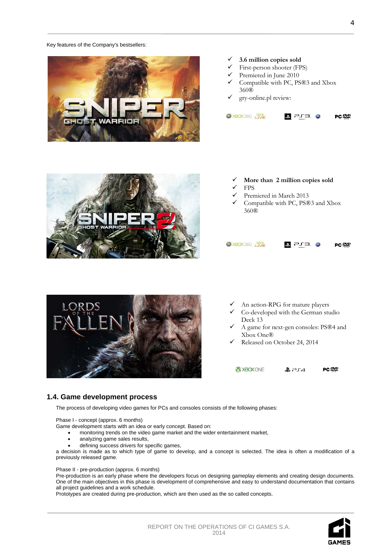#### Key features of the Company's bestsellers:



## **3.6 million copies sold**

- First-person shooter (FPS)
- Premiered in June 2010
- Compatible with PC, PS®3 and Xbox 360®
- gry-online.pl review:





- **More than 2 million copies sold**
- FPS
- Premiered in March 2013
- Compatible with PC, PS®3 and Xbox 360®

#### X XBOX 360. XBOX ♪ ヒエコ ・※ PC<sub>2</sub>



- An action-RPG for mature players
- Co-developed with the German studio Deck 13
- A game for next-gen consoles: PS®4 and Xbox One®
- Released on October 24, 2014

X XBOX ONE  $274$ PC 警

## **1.4. Game development process**

The process of developing video games for PCs and consoles consists of the following phases:

Phase I - concept (approx. 6 months)

Game development starts with an idea or early concept. Based on:

- monitoring trends on the video game market and the wider entertainment market,
- analyzing game sales results,
- defining success drivers for specific games,

a decision is made as to which type of game to develop, and a concept is selected. The idea is often a modification of a previously released game.

Phase II - pre-production (approx. 6 months)

[Pre-production](http://pl.wikipedia.org/wiki/Preprodukcja) is an early phase where the developers focus on designing gameplay elements and creating design documents. One of the main objectives in this phase is development of comprehensive and easy to understand documentation that contains all project guidelines and a work schedule.

[Prototypes](http://pl.wikipedia.org/wiki/Prototyp) are created during pre-production, which are then used as the so called concepts.

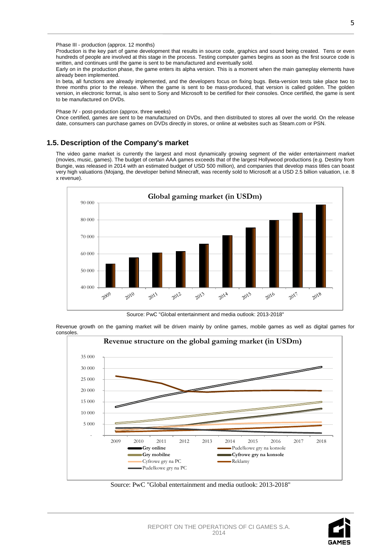#### Phase III - production (approx. 12 months)

Production is the key part of game development that results in [source code,](http://pl.wikipedia.org/wiki/Kod_%C5%BAr%C3%B3d%C5%82owy) graphics and sound being created. Tens or even hundreds of people are involved at this stage in the process. Testing computer games begins as soon as the first source code is written, and continues until the game is sent to be manufactured and eventually sold.

Early on in the production phase, the game enters its alpha version. This is a moment when the main gameplay elements have already been implemented.

In beta, all functions are already implemented, and the developers focus on fixing bugs. Beta-version tests take place two to three months prior to the release. When the game is sent to be mass-produced, that version is called golden. The golden version, in electronic format, is also sent to Sony and Microsoft to be certified for their consoles. Once certified, the game is sent to be manufactured on DVDs.

#### Phase IV - post-production (approx. three weeks)

Once certified, games are sent to be manufactured on DVDs, and then distributed to stores all over the world. On the release date, consumers can purchase games on DVDs directly in stores, or online at websites such as Steam.com or PSN.

## **1.5. Description of the Company's market**

The video game market is currently the largest and most dynamically growing segment of the wider entertainment market (movies, music, games). The budget of certain AAA games exceeds that of the largest Hollywood productions (e.g. Destiny from Bungie, was released in 2014 with an estimated budget of USD 500 million), and companies that develop mass titles can boast very high valuations (Mojang, the developer behind Minecraft, was recently sold to Microsoft at a USD 2.5 billion valuation, i.e. 8 x revenue).



Source: PwC "Global entertainment and media outlook: 2013-2018"

Revenue growth on the gaming market will be driven mainly by online games, mobile games as well as digital games for consoles.





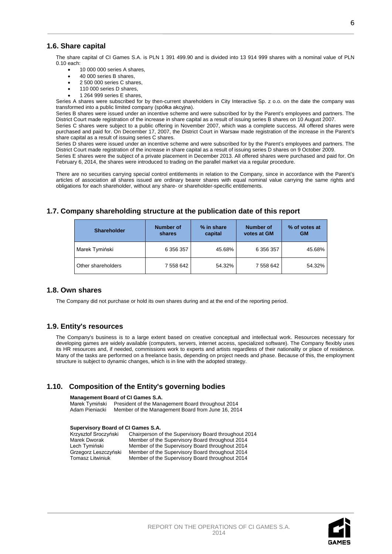## **1.6. Share capital**

The share capital of CI Games S.A. is PLN 1 391 499.90 and is divided into 13 914 999 shares with a nominal value of PLN 0.10 each:

- 10 000 000 series A shares,
- 40 000 series B shares,
- 2 500 000 series C shares,
- 110 000 series D shares,
- 1 264 999 series E shares,

Series A shares were subscribed for by then-current shareholders in City Interactive Sp. z o.o. on the date the company was transformed into a public limited company (spółka akcyjna).

Series B shares were issued under an incentive scheme and were subscribed for by the Parent's employees and partners. The District Court made registration of the increase in share capital as a result of issuing series B shares on 10 August 2007.

Series C shares were subject to a public offering in November 2007, which was a complete success. All offered shares were purchased and paid for. On December 17, 2007, the District Court in Warsaw made registration of the increase in the Parent's share capital as a result of issuing series C shares.

Series D shares were issued under an incentive scheme and were subscribed for by the Parent's employees and partners. The District Court made registration of the increase in share capital as a result of issuing series D shares on 9 October 2009.

Series E shares were the subject of a private placement in December 2013. All offered shares were purchased and paid for. On February 6, 2014, the shares were introduced to trading on the parallel market via a regular procedure.

There are no securities carrying special control entitlements in relation to the Company, since in accordance with the Parent's articles of association all shares issued are ordinary bearer shares with equal nominal value carrying the same rights and obligations for each shareholder, without any share- or shareholder-specific entitlements.

## **1.7. Company shareholding structure at the publication date of this report**

| <b>Shareholder</b> | <b>Number of</b><br>shares | % in share<br>capital | <b>Number of</b><br>votes at GM | % of votes at<br><b>GM</b> |
|--------------------|----------------------------|-----------------------|---------------------------------|----------------------------|
| Marek Tymiński     | 6 356 357                  | 45.68%                | 6 356 357                       | 45.68%                     |
| Other shareholders | 7 558 642                  | 54.32%                | 7 558 642                       | 54.32%                     |

## **1.8. Own shares**

The Company did not purchase or hold its own shares during and at the end of the reporting period.

## **1.9. Entity's resources**

The Company's business is to a large extent based on creative conceptual and intellectual work. Resources necessary for developing games are widely available (computers, servers, internet access, specialized software). The Company flexibly uses its HR resources and, if needed, commissions work to experts and artists regardless of their nationality or place of residence. Many of the tasks are performed on a freelance basis, depending on project needs and phase. Because of this, the employment structure is subject to dynamic changes, which is in line with the adopted strategy.

## **1.10. Composition of the Entity's governing bodies**

#### **Management Board of CI Games S.A.**

Marek Tymiński President of the Management Board throughout 2014<br>Adam Pieniacki Member of the Management Board from June 16, 201 Member of the Management Board from June 16, 2014

#### **Supervisory Board of CI Games S.A.**

| Krzysztof Sroczyński | Chairperson of the Supervisory Board throughout 2014 |
|----------------------|------------------------------------------------------|
| Marek Dworak         | Member of the Supervisory Board throughout 2014      |
| Lech Tymiński        | Member of the Supervisory Board throughout 2014      |
| Grzegorz Leszczyński | Member of the Supervisory Board throughout 2014      |
| Tomasz Litwiniuk     | Member of the Supervisory Board throughout 2014      |

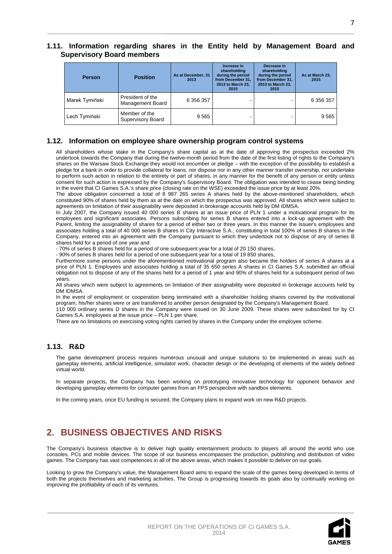## **1.11. Information regarding shares in the Entity held by Management Board and Supervisory Board members**

| <b>Person</b>  | <b>Position</b>                             | As at December, 31<br>2013 | Increase in<br>shareholding<br>during the period<br>from December 31.<br>2013 to March 23.<br>2015 | Decrease in<br>shareholding<br>during the period<br>from December 31.<br>2013 to March 23.<br>2015 | As at March 23,<br>2015 |
|----------------|---------------------------------------------|----------------------------|----------------------------------------------------------------------------------------------------|----------------------------------------------------------------------------------------------------|-------------------------|
| Marek Tymiński | President of the<br><b>Management Board</b> | 6 356 357                  |                                                                                                    |                                                                                                    | 6 356 357               |
| Lech Tymiński  | Member of the<br>Supervisory Board          | 9565                       |                                                                                                    |                                                                                                    | 9565                    |

## **1.12. Information on employee share ownership program control systems**

All shareholders whose stake in the Company's share capital as at the date of approving the prospectus exceeded 2% undertook towards the Company that during the twelve-month period from the date of the first listing of rights to the Company's shares on the Warsaw Stock Exchange they would not encumber or pledge – with the exception of the possibility to establish a pledge for a bank in order to provide collateral for loans, nor dispose nor in any other manner transfer ownership, nor undertake to perform such action in relation to the entirety or part of shares, in any manner for the benefit of any person or entity unless consent for such action is expressed by the Company's Supervisory Board. The obligation was intended to cease being binding in the event that CI Games S.A.'s share price (closing rate on the WSE) exceeded the issue price by at least 20%.

The above obligation concerned a total of 8 987 265 series A shares held by the above-mentioned shareholders, which constituted 90% of shares held by them as at the date on which the prospectus was approved. All shares which were subject to agreements on limitation of their assignability were deposited in brokerage accounts held by DM IDMSA.

In July 2007, the Company issued 40 000 series B shares at an issue price of PLN 1 under a motivational program for its employees and significant associates. Persons subscribing for series B shares entered into a lock-up agreement with the Parent, limiting the assignability of shares for a period of either two or three years. In this manner the Issuer's employees and associates holding a total of 40 000 series B shares in City Interactive S.A., constituting in total 100% of series B shares in the Company, entered into an agreement with the Company pursuant to which they undertook not to dispose of any of series B shares held for a period of one year and:

- 70% of series B shares held for a period of one subsequent year for a total of 20 150 shares,

- 90% of series B shares held for a period of one subsequent year for a total of 19 850 shares,

Furthermore some persons under the aforementioned motivational program also became the holders of series A shares at a price of PLN 1. Employees and associates holding a total of 35 650 series A shares in CI Games S.A. submitted an official obligation not to dispose of any of the shares held for a period of 1 year and 90% of shares held for a subsequent period of two years.

All shares which were subject to agreements on limitation of their assignability were deposited in brokerage accounts held by DM IDMSA.

In the event of employment or cooperation being terminated with a shareholder holding shares covered by the motivational program, his/her shares were or are transferred to another person designated by the Company's Management Board.

110 000 ordinary series D shares in the Company were issued on 30 June 2009. These shares were subscribed for by CI Games S.A. employees at the issue price – PLN 1 per share.

There are no limitations on exercising voting rights carried by shares in the Company under the employee scheme.

## **1.13. R&D**

The game development process requires numerous unusual and unique solutions to be implemented in areas such as gameplay elements, artificial intelligence, simulator work, character design or the developing of elements of the widely defined virtual world.

In separate projects, the Company has been working on prototyping innovative technology for opponent behavior and developing gameplay elements for computer games from an FPS perspective with sandbox elements.

In the coming years, once EU funding is secured, the Company plans to expand work on new R&D projects.

## **2. BUSINESS OBJECTIVES AND RISKS**

The Company's business objective is to deliver high quality entertainment products to players all around the world who use consoles, PCs and mobile devices. The scope of our business encompasses the production, publishing and distribution of video games. The Company has vast competences in all of the above areas, which makes it possible to deliver on our goals.

Looking to grow the Company's value, the Management Board aims to expand the scale of the games being developed in terms of both the projects themselves and marketing activities. The Group is progressing towards its goals also by continually working on improving the profitability of each of its ventures.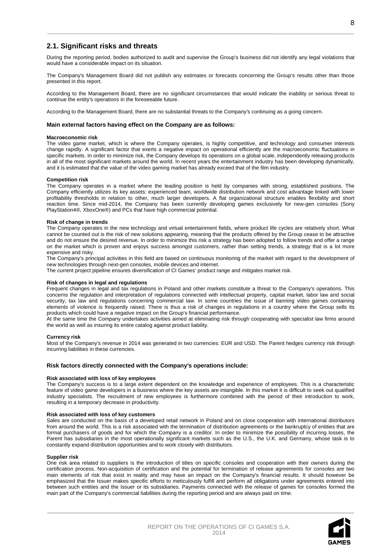During the reporting period, bodies authorized to audit and supervise the Group's business did not identify any legal violations that would have a considerable impact on its situation.

The Company's Management Board did not publish any estimates or forecasts concerning the Group's results other than those presented in this report.

According to the Management Board, there are no significant circumstances that would indicate the inability or serious threat to continue the entity's operations in the foreseeable future.

According to the Management Board, there are no substantial threats to the Company's continuing as a going concern.

#### **Main external factors having effect on the Company are as follows:**

#### **Macroeconomic risk**

The video game market, which is where the Company operates, is highly competitive, and technology and consumer interests change rapidly. A significant factor that exerts a negative impact on operational efficiently are the macroeconomic fluctuations in specific markets. In order to minimize risk, the Company develops its operations on a global scale, independently releasing products in all of the most significant markets around the world. In recent years the entertainment industry has been developing dynamically, and it is estimated that the value of the video gaming market has already exceed that of the film industry.

#### **Competition risk**

The Company operates in a market where the leading position is held by companies with strong, established positions. The Company efficiently utilizes its key assets: experienced team, worldwide distribution network and cost advantage linked with lower profitability thresholds in relation to other, much larger developers. A flat organizational structure enables flexibility and short reaction time. Since mid-2014, the Company has been currently developing games exclusively for new-gen consoles (Sony PlayStation4®, XboxOne®) and PCs that have high commercial potential.

#### **Risk of change in trends**

The Company operates in the new technology and virtual entertainment fields, where product life cycles are relatively short. What cannot be counted out is the risk of new solutions appearing, meaning that the products offered by the Group cease to be attractive and do not ensure the desired revenue. In order to minimize this risk a strategy has been adopted to follow trends and offer a range on the market which is proven and enjoys success amongst customers, rather than setting trends, a strategy that is a lot more expensive and risky.

The Company's principal activities in this field are based on continuous monitoring of the market with regard to the development of new technologies through next-gen consoles, mobile devices and internet.

The current project pipeline ensures diversification of CI Games' product range and mitigates market risk.

#### **Risk of changes in legal and regulations**

Frequent changes in legal and tax regulations in Poland and other markets constitute a threat to the Company's operations. This concerns the regulation and interpretation of regulations connected with intellectual property, capital market, labor law and social security, tax law and regulations concerning commercial law. In some countries the issue of banning video games containing elements of violence is frequently raised. There is thus a risk of changes in regulations in a country where the Group sells its products which could have a negative impact on the Group's financial performance.

At the same time the Company undertakes activities aimed at eliminating risk through cooperating with specialist law firms around the world as well as insuring its entire catalog against product liability.

#### **Currency risk**

Most of the Company's revenue in 2014 was generated in two currencies: EUR and USD. The Parent hedges currency risk through incurring liabilities in these currencies.

#### **Risk factors directly connected with the Company's operations include:**

#### **Risk associated with loss of key employees**

The Company's success is to a large extent dependent on the knowledge and experience of employees. This is a characteristic feature of video game developers in a business where the key assets are intangible. In this market it is difficult to seek out qualified industry specialists. The recruitment of new employees is furthermore combined with the period of their introduction to work, resulting in a temporary decrease in productivity.

#### **Risk associated with loss of key customers**

Sales are conducted on the basis of a developed retail network in Poland and on close cooperation with international distributors from around the world. This is a risk associated with the termination of distribution agreements or the bankruptcy of entities that are formal purchasers of goods and for which the Company is a creditor. In order to minimize the possibility of incurring losses, the Parent has subsidiaries in the most operationally significant markets such as the U.S., the U.K. and Germany, whose task is to constantly expand distribution opportunities and to work closely with distributors.

#### **Supplier risk**

One risk area related to suppliers is the introduction of titles on specific consoles and cooperation with their owners during the certification process. Non-acquisition of certification and the potential for termination of release agreements for consoles are two main elements of risk that exist in reality and may have an impact on the Company's financial results. It should however be emphasized that the Issuer makes specific efforts to meticulously fulfill and perform all obligations under agreements entered into between such entities and the Issuer or its subsidiaries. Payments connected with the release of games for consoles formed the main part of the Company's commercial liabilities during the reporting period and are always paid on time.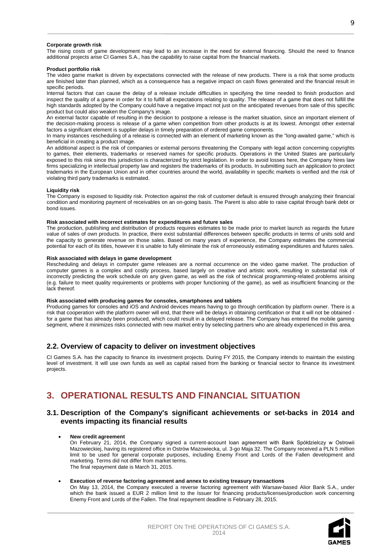#### **Corporate growth risk**

The rising costs of game development may lead to an increase in the need for external financing. Should the need to finance additional projects arise CI Games S.A., has the capability to raise capital from the financial markets.

#### **Product portfolio risk**

The video game market is driven by expectations connected with the release of new products. There is a risk that some products are finished later than planned, which as a consequence has a negative impact on cash flows generated and the financial result in specific periods.

Internal factors that can cause the delay of a release include difficulties in specifying the time needed to finish production and inspect the quality of a game in order for it to fulfill all expectations relating to quality. The release of a game that does not fulfill the high standards adopted by the Company could have a negative impact not just on the anticipated revenues from sale of this specific product but could also weaken the Company's image.

An external factor capable of resulting in the decision to postpone a release is the market situation, since an important element of the decision-making process is release of a game when competition from other products is at its lowest. Amongst other external factors a significant element is supplier delays in timely preparation of ordered game components.

In many instances rescheduling of a release is connected with an element of marketing known as the "long-awaited game," which is beneficial in creating a product image.

An additional aspect is the risk of companies or external persons threatening the Company with legal action concerning copyrights to games, their elements, trademarks or reserved names for specific products. Operations in the United States are particularly exposed to this risk since this jurisdiction is characterized by strict legislation. In order to avoid losses here, the Company hires law firms specializing in intellectual property law and registers the trademarks of its products. In submitting such an application to protect trademarks in the European Union and in other countries around the world, availability in specific markets is verified and the risk of violating third party trademarks is estimated.

#### **Liquidity risk**

The Company is exposed to liquidity risk. Protection against the risk of customer default is ensured through analyzing their financial condition and monitoring payment of receivables on an on-going basis. The Parent is also able to raise capital through bank debt or bond issues.

#### **Risk associated with incorrect estimates for expenditures and future sales**

The production, publishing and distribution of products requires estimates to be made prior to market launch as regards the future value of sales of own products. In practice, there exist substantial differences between specific products in terms of units sold and the capacity to generate revenue on those sales. Based on many years of experience, the Company estimates the commercial potential for each of its titles, however it is unable to fully eliminate the risk of erroneously estimating expenditures and futures sales.

#### **Risk associated with delays in game development**

Rescheduling and delays in computer game releases are a normal occurrence on the video game market. The production of computer games is a complex and costly process, based largely on creative and artistic work, resulting in substantial risk of incorrectly predicting the work schedule on any given game, as well as the risk of technical programming-related problems arising (e.g. failure to meet quality requirements or problems with proper functioning of the game), as well as insufficient financing or the lack thereof.

#### **Risk associated with producing games for consoles, smartphones and tablets**

Producing games for consoles and iOS and Android devices means having to go through certification by platform owner. There is a risk that cooperation with the platform owner will end, that there will be delays in obtaining certification or that it will not be obtained for a game that has already been produced, which could result in a delayed release. The Company has entered the mobile gaming segment, where it minimizes risks connected with new market entry by selecting partners who are already experienced in this area.

#### **2.2. Overview of capacity to deliver on investment objectives**

CI Games S.A. has the capacity to finance its investment projects. During FY 2015, the Company intends to maintain the existing level of investment. It will use own funds as well as capital raised from the banking or financial sector to finance its investment projects.

## **3. OPERATIONAL RESULTS AND FINANCIAL SITUATION**

## **3.1. Description of the Company's significant achievements or set-backs in 2014 and events impacting its financial results**

#### • **New credit agreement**

On February 21, 2014, the Company signed a current-account loan agreement with Bank Spółdzielczy w Ostrowii Mazowieckiej, having its registered office in Ostrów Mazowiecka, ul. 3-go Maja 32. The Company received a PLN 5 million limit to be used for general corporate purposes, including Enemy Front and Lords of the Fallen development and marketing. Terms did not differ from market terms. The final repayment date is March 31, 2015.

#### • **Execution of reverse factoring agreement and annex to existing treasury transactions**

On May 13, 2014, the Company executed a reverse factoring agreement with Warsaw-based Alior Bank S.A., under which the bank issued a EUR 2 million limit to the Issuer for financing products/licenses/production work concerning Enemy Front and Lords of the Fallen. The final repayment deadline is February 28, 2015.

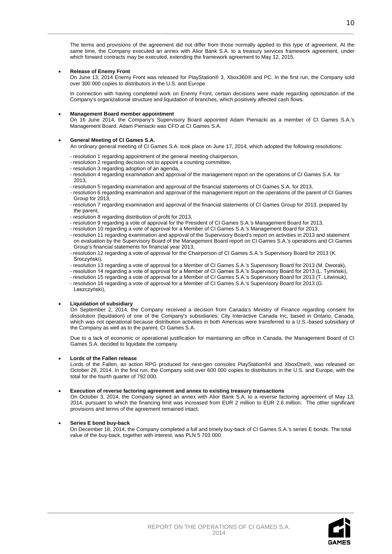The terms and provisions of the agreement did not differ from those normally applied to this type of agreement. At the same time, the Company executed an annex with Alior Bank S.A. to a treasury services framework agreement, under which forward contracts may be executed, extending the framework agreement to May 12, 2015.

#### • **Release of Enemy Front**

On June 13, 2014 Enemy Front was released for PlayStation® 3, Xbox360® and PC. In the first run, the Company sold over 300 000 copies to distributors in the U.S. and Europe.

In connection with having completed work on Enemy Front, certain decisions were made regarding optimization of the Company's organizational structure and liquidation of branches, which positively affected cash flows.

#### • **Management Board member appointment**

On 16 June 2014, the Company's Supervisory Board appointed Adam Pieniacki as a member of CI Games S.A.'s Management Board. Adam Pieniacki was CFO at CI Games S.A.

#### • **General Meeting of CI Games S.A.**

An ordinary general meeting of CI Games S.A. took place on June 17, 2014, which adopted the following resolutions:

- resolution 1 regarding appointment of the general meeting chairperson,
- resolution 2 regarding decision not to appoint a counting committee,
- resolution 3 regarding adoption of an agenda,
- resolution 4 regarding examination and approval of the management report on the operations of CI Games S.A. for 2013,
- resolution 5 regarding examination and approval of the financial statements of CI Games S.A. for 2013,
- resolution 6 regarding examination and approval of the management report on the operations of the parent of CI Games Group for 2013,
- resolution 7 regarding examination and approval of the financial statements of CI Games Group for 2013, prepared by the parent,
- resolution 8 regarding distribution of profit for 2013,
- resolution 9 regarding a vote of approval for the President of CI Games S.A.'s Management Board for 2013,
- resolution 10 regarding a vote of approval for a Member of CI Games S.A.'s Management Board for 2013,
- resolution 11 regarding examination and approval of the Supervisory Board's report on activities in 2013 and statement on evaluation by the Supervisory Board of the Management Board report on CI Games S.A.'s operations and CI Games Group's financial statements for financial year 2013,
- resolution 12 regarding a vote of approval for the Chairperson of CI Games S.A.'s Supervisory Board for 2013 (K. Sroczyński),
- resolution 13 regarding a vote of approval for a Member of CI Games S.A.'s Supervisory Board for 2013 (M. Dworak),
- resolution 14 regarding a vote of approval for a Member of CI Games S.A.'s Supervisory Board for 2013 (L. Tymiński),
- resolution 15 regarding a vote of approval for a Member of CI Games S.A.'s Supervisory Board for 2013 (T. Litwiniuk),
- resolution 16 regarding a vote of approval for a Member of CI Games S.A.'s Supervisory Board for 2013 (G. Leszczyński),

#### • **Liquidation of subsidiary**

On September 2, 2014, the Company received a decision from Canada's Ministry of Finance regarding consent for dissolution (liquidation) of one of the Company's subsidiaries: City Interactive Canada Inc, based in Ontario, Canada, which was not operational because distribution activities in both Americas were transferred to a U.S.-based subsidiary of the Company as well as to the parent, CI Games S.A.

Due to a lack of economic or operational justification for maintaining an office in Canada, the Management Board of CI Games S.A. decided to liquidate the company.

#### • **Lords of the Fallen release**

Lords of the Fallen, an action RPG produced for next-gen consoles PlayStation®4 and XboxOne®, was released on October 28, 2014. In the first run, the Company sold over 600 000 copies to distributors in the U.S. and Europe, with the total for the fourth quarter of 792 000.

#### • **Execution of reverse factoring agreement and annex to existing treasury transactions**

On October 3, 2014, the Company signed an annex with Alior Bank S.A. to a reverse factoring agreement of May 13, 2014, pursuant to which the financing limit was increased from EUR 2 million to EUR 2.6 million. The other significant provisions and terms of the agreement remained intact.

#### • **Series E bond buy-back**

On December 18, 2014, the Company completed a full and timely buy-back of CI Games S.A.'s series E bonds. The total value of the buy-back, together with interest, was PLN 5 703 000.

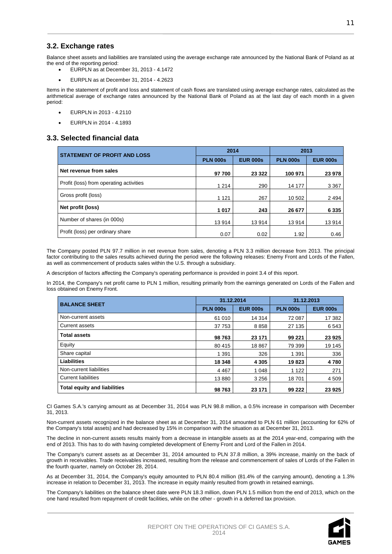## **3.2. Exchange rates**

Balance sheet assets and liabilities are translated using the average exchange rate announced by the National Bank of Poland as at the end of the reporting period:

- EURPLN as at December 31, 2013 4.1472
- EURPLN as at December 31, 2014 4.2623

Items in the statement of profit and loss and statement of cash flows are translated using average exchange rates, calculated as the arithmetical average of exchange rates announced by the National Bank of Poland as at the last day of each month in a given period:

- EURPLN in 2013 4.2110
- $\bullet$  EURPLN in 2014 4.1893

## **3.3. Selected financial data**

| <b>STATEMENT OF PROFIT AND LOSS</b>     | 2014            |                 | 2013            |                 |
|-----------------------------------------|-----------------|-----------------|-----------------|-----------------|
|                                         | <b>PLN 000s</b> | <b>EUR 000s</b> | <b>PLN 000s</b> | <b>EUR 000s</b> |
| Net revenue from sales                  | 97 700          | 23 3 22         | 100 971         | 23 978          |
| Profit (loss) from operating activities | 1 2 1 4         | 290             | 14 177          | 3 3 6 7         |
| Gross profit (loss)                     | 1 1 2 1         | 267             | 10 502          | 2 4 9 4         |
| Net profit (loss)                       | 1017            | 243             | 26 677          | 6 3 3 5         |
| Number of shares (in 000s)              | 13914           | 13914           | 13 914          | 13914           |
| Profit (loss) per ordinary share        | 0.07            | 0.02            | 1.92            | 0.46            |

The Company posted PLN 97.7 million in net revenue from sales, denoting a PLN 3.3 million decrease from 2013. The principal factor contributing to the sales results achieved during the period were the following releases: Enemy Front and Lords of the Fallen, as well as commencement of products sales within the U.S. through a subsidiary.

A description of factors affecting the Company's operating performance is provided in point 3.4 of this report.

In 2014, the Company's net profit came to PLN 1 million, resulting primarily from the earnings generated on Lords of the Fallen and loss obtained on Enemy Front.

| <b>BALANCE SHEET</b>                | 31.12.2014      |                 | 31.12.2013      |                 |
|-------------------------------------|-----------------|-----------------|-----------------|-----------------|
|                                     | <b>PLN 000s</b> | <b>EUR 000s</b> | <b>PLN 000s</b> | <b>EUR 000s</b> |
| Non-current assets                  | 61 010          | 14 3 14         | 72 087          | 17 382          |
| Current assets                      | 37 753          | 8858            | 27 135          | 6543            |
| <b>Total assets</b>                 | 98763           | 23 171          | 99 221          | 23 9 25         |
| Equity                              | 80 415          | 18 867          | 79 399          | 19 145          |
| Share capital                       | 1 3 9 1         | 326             | 1 3 9 1         | 336             |
| <b>Liabilities</b>                  | 18 348          | 4 3 0 5         | 19823           | 4780            |
| Non-current liabilities             | 4 4 6 7         | 1 0 4 8         | 1 1 2 2         | 271             |
| <b>Current liabilities</b>          | 13880           | 3 2 5 6         | 18701           | 4 5 0 9         |
| <b>Total equity and liabilities</b> | 98763           | 23 171          | 99 222          | 23 9 25         |

CI Games S.A.'s carrying amount as at December 31, 2014 was PLN 98.8 million, a 0.5% increase in comparison with December 31, 2013.

Non-current assets recognized in the balance sheet as at December 31, 2014 amounted to PLN 61 million (accounting for 62% of the Company's total assets) and had decreased by 15% in comparison with the situation as at December 31, 2013.

The decline in non-current assets results mainly from a decrease in intangible assets as at the 2014 year-end, comparing with the end of 2013. This has to do with having completed development of Enemy Front and Lord of the Fallen in 2014.

The Company's current assets as at December 31, 2014 amounted to PLN 37.8 million, a 39% increase, mainly on the back of growth in receivables. Trade receivables increased, resulting from the release and commencement of sales of Lords of the Fallen in the fourth quarter, namely on October 28, 2014.

As at December 31, 2014, the Company's equity amounted to PLN 80.4 million (81.4% of the carrying amount), denoting a 1.3% increase in relation to December 31, 2013. The increase in equity mainly resulted from growth in retained earnings.

The Company's liabilities on the balance sheet date were PLN 18.3 million, down PLN 1.5 million from the end of 2013, which on the one hand resulted from repayment of credit facilities, while on the other - growth in a deferred tax provision.

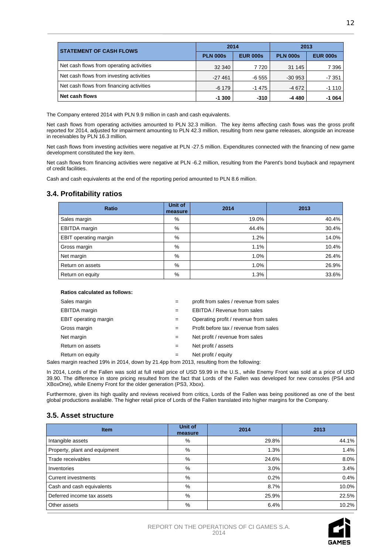| <b>STATEMENT OF CASH FLOWS</b>           | 2014            |                 | 2013            |                 |
|------------------------------------------|-----------------|-----------------|-----------------|-----------------|
|                                          | <b>PLN 000s</b> | <b>EUR 000s</b> | <b>PLN 000s</b> | <b>EUR 000s</b> |
| Net cash flows from operating activities | 32 340          | 7 7 2 0         | 31 145          | 7 3 9 6         |
| Net cash flows from investing activities | $-27461$        | $-6555$         | $-30953$        | -7 351          |
| Net cash flows from financing activities | $-6179$         | -1 475          | $-4672$         | $-1110$         |
| Net cash flows                           | $-1300$         | $-310$          | $-4480$         | -1 064          |

The Company entered 2014 with PLN 9.9 million in cash and cash equivalents.

Net cash flows from operating activities amounted to PLN 32.3 million. The key items affecting cash flows was the gross profit reported for 2014, adjusted for impairment amounting to PLN 42.3 million, resulting from new game releases, alongside an increase in receivables by PLN 16.3 million.

Net cash flows from investing activities were negative at PLN -27.5 million. Expenditures connected with the financing of new game development constituted the key item.

Net cash flows from financing activities were negative at PLN -6.2 million, resulting from the Parent's bond buyback and repayment of credit facilities.

Cash and cash equivalents at the end of the reporting period amounted to PLN 8.6 million.

## **3.4. Profitability ratios**

| Ratio                 | Unit of<br>measure | 2014  | 2013  |
|-----------------------|--------------------|-------|-------|
| Sales margin          | %                  | 19.0% | 40.4% |
| <b>EBITDA</b> margin  | %                  | 44.4% | 30.4% |
| EBIT operating margin | %                  | 1.2%  | 14.0% |
| Gross margin          | %                  | 1.1%  | 10.4% |
| Net margin            | %                  | 1.0%  | 26.4% |
| Return on assets      | %                  | 1.0%  | 26.9% |
| Return on equity      | %                  | 1.3%  | 33.6% |

#### **Ratios calculated as follows:**

| Sales margin                                                                        | $=$ | profit from sales / revenue from sales |
|-------------------------------------------------------------------------------------|-----|----------------------------------------|
| <b>EBITDA</b> margin                                                                | $=$ | EBITDA / Revenue from sales            |
| <b>EBIT</b> operating margin                                                        | $=$ | Operating profit / revenue from sales  |
| Gross margin                                                                        | $=$ | Profit before tax / revenue from sales |
| Net margin                                                                          | $=$ | Net profit / revenue from sales        |
| Return on assets                                                                    | $=$ | Net profit / assets                    |
| Return on equity                                                                    | $=$ | Net profit / equity                    |
| margin reached 10% in 2014, down by 21 4pp from 2013, resulting from the following: |     |                                        |

Sales margin reached 19% in 2014, down by 21.4pp from 2013, resulting from the following:

In 2014, Lords of the Fallen was sold at full retail price of USD 59.99 in the U.S., while Enemy Front was sold at a price of USD 39.90. The difference in store pricing resulted from the fact that Lords of the Fallen was developed for new consoles (PS4 and XBoxOne), while Enemy Front for the older generation (PS3, Xbox).

Furthermore, given its high quality and reviews received from critics, Lords of the Fallen was being positioned as one of the best global productions available. The higher retail price of Lords of the Fallen translated into higher margins for the Company.

## **3.5. Asset structure**

| <b>Item</b>                   | Unit of<br>measure | 2014  | 2013  |
|-------------------------------|--------------------|-------|-------|
| Intangible assets             | %                  | 29.8% | 44.1% |
| Property, plant and equipment | %                  | 1.3%  | 1.4%  |
| Trade receivables             | %                  | 24.6% | 8.0%  |
| Inventories                   | %                  | 3.0%  | 3.4%  |
| <b>Current investments</b>    | %                  | 0.2%  | 0.4%  |
| Cash and cash equivalents     | %                  | 8.7%  | 10.0% |
| Deferred income tax assets    | %                  | 25.9% | 22.5% |
| Other assets                  | %                  | 6.4%  | 10.2% |

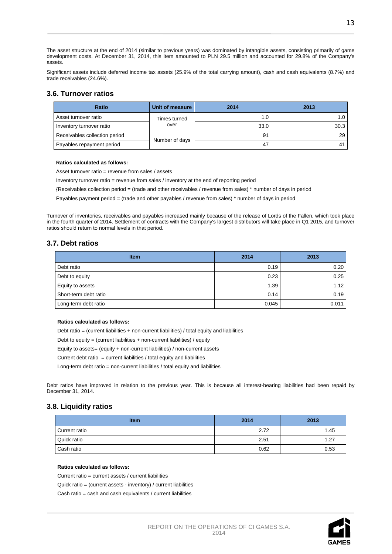The asset structure at the end of 2014 (similar to previous years) was dominated by intangible assets, consisting primarily of game development costs. At December 31, 2014, this item amounted to PLN 29.5 million and accounted for 29.8% of the Company's assets.

Significant assets include deferred income tax assets (25.9% of the total carrying amount), cash and cash equivalents (8.7%) and trade receivables (24.6%).

## **3.6. Turnover ratios**

| <b>Ratio</b>                  | Unit of measure | 2014 | 2013 |
|-------------------------------|-----------------|------|------|
| Asset turnover ratio          | Times turned    | 1.0  | 1.0  |
| Inventory turnover ratio      | over            | 33.0 | 30.3 |
| Receivables collection period |                 | 91   | 29   |
| Payables repayment period     | Number of days  | 47   | 41   |

#### **Ratios calculated as follows:**

Asset turnover ratio = revenue from sales / assets

Inventory turnover ratio = revenue from sales / inventory at the end of reporting period

{Receivables collection period = (trade and other receivables / revenue from sales) \* number of days in period

Payables payment period = (trade and other payables / revenue from sales) \* number of days in period

Turnover of inventories, receivables and payables increased mainly because of the release of Lords of the Fallen, which took place in the fourth quarter of 2014. Settlement of contracts with the Company's largest distributors will take place in Q1 2015, and turnover ratios should return to normal levels in that period.

## **3.7. Debt ratios**

| <b>Item</b>           | 2014  | 2013  |
|-----------------------|-------|-------|
| Debt ratio            | 0.19  | 0.20  |
| Debt to equity        | 0.23  | 0.25  |
| Equity to assets      | 1.39  | 1.12  |
| Short-term debt ratio | 0.14  | 0.19  |
| Long-term debt ratio  | 0.045 | 0.011 |

#### **Ratios calculated as follows:**

Debt ratio = (current liabilities + non-current liabilities) / total equity and liabilities

Debt to equity = (current liabilities + non-current liabilities) / equity

Equity to assets= (equity + non-current liabilities) / non-current assets

Current debt ratio  $=$  current liabilities / total equity and liabilities

Long-term debt ratio = non-current liabilities / total equity and liabilities

Debt ratios have improved in relation to the previous year. This is because all interest-bearing liabilities had been repaid by December 31, 2014.

## **3.8. Liquidity ratios**

| <b>Item</b>   | 2014 | 2013 |
|---------------|------|------|
| Current ratio | 2.72 | 1.45 |
| Quick ratio   | 2.51 | 1.27 |
| Cash ratio    | 0.62 | 0.53 |

#### **Ratios calculated as follows:**

Current ratio = current assets / current liabilities

Quick ratio = (current assets - inventory) / current liabilities

Cash ratio = cash and cash equivalents / current liabilities

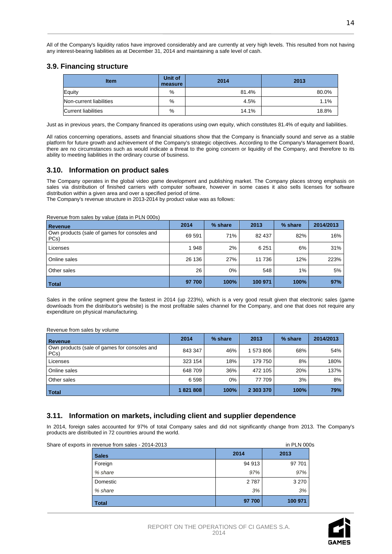All of the Company's liquidity ratios have improved considerably and are currently at very high levels. This resulted from not having any interest-bearing liabilities as at December 31, 2014 and maintaining a safe level of cash.

## **3.9. Financing structure**

| <b>Item</b>                | Unit of<br>measure | 2014  | 2013  |
|----------------------------|--------------------|-------|-------|
| Equity                     | %                  | 81.4% | 80.0% |
| Non-current liabilities    | %                  | 4.5%  | 1.1%  |
| <b>Current liabilities</b> | %                  | 14.1% | 18.8% |

Just as in previous years, the Company financed its operations using own equity, which constitutes 81.4% of equity and liabilities.

All ratios concerning operations, assets and financial situations show that the Company is financially sound and serve as a stable platform for future growth and achievement of the Company's strategic objectives. According to the Company's Management Board, there are no circumstances such as would indicate a threat to the going concern or liquidity of the Company, and therefore to its ability to meeting liabilities in the ordinary course of business.

## **3.10. Information on product sales**

The Company operates in the global video game development and publishing market. The Company places strong emphasis on sales via distribution of finished carriers with computer software, however in some cases it also sells licenses for software distribution within a given area and over a specified period of time.

The Company's revenue structure in 2013-2014 by product value was as follows:

Revenue from sales by value (data in PLN 000s)

| Revenue                                              | 2014   | % share | 2013    | % share | 2014/2013 |
|------------------------------------------------------|--------|---------|---------|---------|-----------|
| Own products (sale of games for consoles and<br>PCs) | 69 591 | 71%     | 82 437  | 82%     | 16%       |
| Licenses                                             | 1948   | 2%      | 6 2 5 1 | 6%      | 31%       |
| Online sales                                         | 26 136 | 27%     | 11 736  | 12%     | 223%      |
| Other sales                                          | 26     | 0%      | 548     | $1\%$   | 5%        |
| <b>Total</b>                                         | 97 700 | 100%    | 100 971 | 100%    | 97%       |

Sales in the online segment grew the fastest in 2014 (up 223%), which is a very good result given that electronic sales (game downloads from the distributor's website) is the most profitable sales channel for the Company, and one that does not require any expenditure on physical manufacturing.

Revenue from sales by volume

| Revenue                                              | 2014    | % share | 2013      | % share | 2014/2013 |
|------------------------------------------------------|---------|---------|-----------|---------|-----------|
| Own products (sale of games for consoles and<br>PCs) | 843 347 | 46%     | 1 573 806 | 68%     | 54%       |
| Licenses                                             | 323 154 | 18%     | 179 750   | 8%      | 180%      |
| Online sales                                         | 648 709 | 36%     | 472 105   | 20%     | 137%      |
| Other sales                                          | 6 5 9 8 | 0%      | 77 709    | 3%      | 8%        |
| Total                                                | 1821808 | 100%    | 2 303 370 | 100%    | 79%       |

## **3.11. Information on markets, including client and supplier dependence**

In 2014, foreign sales accounted for 97% of total Company sales and did not significantly change from 2013. The Company's products are distributed in 72 countries around the world.

| Share of exports in revenue from sales - 2014-2013 |  |        | in PLN 000s |
|----------------------------------------------------|--|--------|-------------|
| <b>Sales</b>                                       |  | 2014   | 2013        |
| Foreign                                            |  | 94 913 | 97 701      |
| % share                                            |  | 97%    | 97%         |
| Domestic                                           |  | 2787   | 3 2 7 0     |
| % share                                            |  | 3%     | 3%          |
| <b>Total</b>                                       |  | 97 700 | 100 971     |

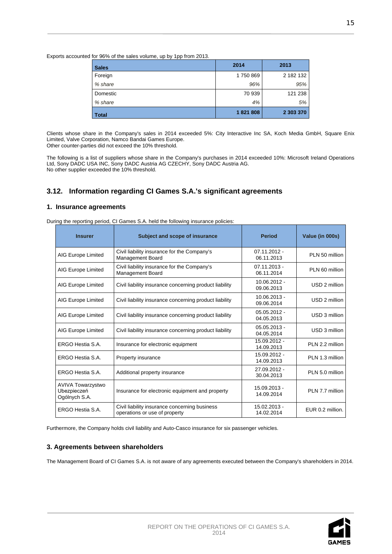Exports accounted for 96% of the sales volume, up by 1pp from 2013.

| <b>Sales</b> | 2014    | 2013      |
|--------------|---------|-----------|
| Foreign      | 1750869 | 2 182 132 |
| % share      | 96%     | 95%       |
| Domestic     | 70 939  | 121 238   |
| % share      | 4%      | 5%        |
| <b>Total</b> | 1821808 | 2 303 370 |

Clients whose share in the Company's sales in 2014 exceeded 5%: City Interactive Inc SA, Koch Media GmbH, Square Enix Limited, Valve Corporation, Namco Bandai Games Europe. Other counter-parties did not exceed the 10% threshold.

The following is a list of suppliers whose share in the Company's purchases in 2014 exceeded 10%: Microsoft Ireland Operations Ltd, Sony DADC USA INC, Sony DADC Austria AG CZECHY, Sony DADC Austria AG. No other supplier exceeded the 10% threshold.

## **3.12. Information regarding CI Games S.A.'s significant agreements**

### **1. Insurance agreements**

During the reporting period, CI Games S.A. held the following insurance policies:

| <b>Insurer</b>                                           | Subject and scope of insurance                                                 | <b>Period</b>                | Value (in 000s)  |
|----------------------------------------------------------|--------------------------------------------------------------------------------|------------------------------|------------------|
| AIG Europe Limited                                       | Civil liability insurance for the Company's<br>Management Board                | 07.11.2012 -<br>06.11.2013   | PLN 50 million   |
| AIG Europe Limited                                       | Civil liability insurance for the Company's<br>Management Board                | 07.11.2013 -<br>06.11.2014   | PLN 60 million   |
| AIG Europe Limited                                       | Civil liability insurance concerning product liability                         | $10.06.2012 -$<br>09.06.2013 | USD 2 million    |
| AIG Europe Limited                                       | Civil liability insurance concerning product liability                         | 10.06.2013 -<br>09.06.2014   | USD 2 million    |
| AIG Europe Limited                                       | Civil liability insurance concerning product liability                         | $05.05.2012 -$<br>04.05.2013 | USD 3 million    |
| AIG Europe Limited                                       | Civil liability insurance concerning product liability                         | $05.05.2013 -$<br>04.05.2014 | USD 3 million    |
| ERGO Hestia S.A.                                         | Insurance for electronic equipment                                             | 15.09.2012 -<br>14.09.2013   | PLN 2.2 million  |
| ERGO Hestia S.A.                                         | Property insurance                                                             | 15.09.2012 -<br>14.09.2013   | PLN 1.3 million  |
| ERGO Hestia S.A.                                         | Additional property insurance                                                  | 27.09.2012 -<br>30.04.2013   | PLN 5.0 million  |
| <b>AVIVA Towarzystwo</b><br>Ubezpieczeń<br>Ogólnych S.A. | Insurance for electronic equipment and property                                | 15.09.2013 -<br>14.09.2014   | PLN 7.7 million  |
| ERGO Hestia S.A.                                         | Civil liability insurance concerning business<br>operations or use of property | 15.02.2013 -<br>14.02.2014   | EUR 0.2 million. |

Furthermore, the Company holds civil liability and Auto-Casco insurance for six passenger vehicles.

## **3. Agreements between shareholders**

The Management Board of CI Games S.A. is not aware of any agreements executed between the Company's shareholders in 2014.

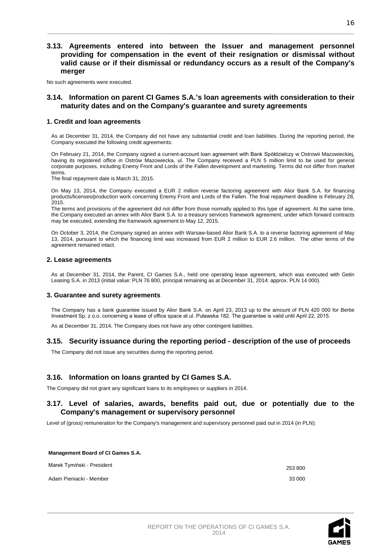## **3.13. Agreements entered into between the Issuer and management personnel providing for compensation in the event of their resignation or dismissal without valid cause or if their dismissal or redundancy occurs as a result of the Company's merger**

No such agreements were executed.

## **3.14. Information on parent CI Games S.A.'s loan agreements with consideration to their maturity dates and on the Company's guarantee and surety agreements**

## **1. Credit and loan agreements**

As at December 31, 2014, the Company did not have any substantial credit and loan liabilities. During the reporting period, the Company executed the following credit agreements:

On February 21, 2014, the Company signed a current-account loan agreement with Bank Spółdzielczy w Ostrowii Mazowieckiej, having its registered office in Ostrów Mazowiecka, ul. The Company received a PLN 5 million limit to be used for general corporate purposes, including Enemy Front and Lords of the Fallen development and marketing. Terms did not differ from market terms.

The final repayment date is March 31, 2015.

On May 13, 2014, the Company executed a EUR 2 million reverse factoring agreement with Alior Bank S.A. for financing products/licenses/production work concerning Enemy Front and Lords of the Fallen. The final repayment deadline is February 28, 2015.

The terms and provisions of the agreement did not differ from those normally applied to this type of agreement. At the same time, the Company executed an annex with Alior Bank S.A. to a treasury services framework agreement, under which forward contracts may be executed, extending the framework agreement to May 12, 2015.

On October 3, 2014, the Company signed an annex with Warsaw-based Alior Bank S.A. to a reverse factoring agreement of May 13, 2014, pursuant to which the financing limit was increased from EUR 2 million to EUR 2.6 million. The other terms of the agreement remained intact.

#### **2. Lease agreements**

As at December 31, 2014, the Parent, CI Games S.A., held one operating lease agreement, which was executed with Getin Leasing S.A. in 2013 (initial value: PLN 76 800, principal remaining as at December 31, 2014: approx. PLN 14 000).

#### **3. Guarantee and surety agreements**

The Company has a bank guarantee issued by Alior Bank S.A. on April 23, 2013 up to the amount of PLN 420 000 for Bertie Investment Sp. z o.o. concerning a lease of office space at ul. Puławska 182. The guarantee is valid until April 22, 2015.

As at December 31, 2014, The Company does not have any other contingent liabilities.

## **3.15. Security issuance during the reporting period - description of the use of proceeds**

The Company did not issue any securities during the reporting period.

## **3.16. Information on loans granted by CI Games S.A.**

The Company did not grant any significant loans to its employees or suppliers in 2014.

## **3.17. Level of salaries, awards, benefits paid out, due or potentially due to the Company's management or supervisory personnel**

Level of (gross) remuneration for the Company's management and supervisory personnel paid out in 2014 (in PLN):

| <b>Management Board of CI Games S.A.</b> |         |
|------------------------------------------|---------|
| Marek Tymiński - President               | 253 800 |
| Adam Pieniacki - Member                  | 33 000  |

16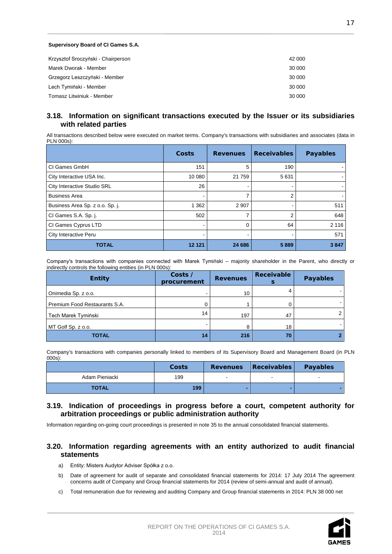#### **Supervisory Board of CI Games S.A.**

| Krzysztof Sroczyński - Chairperson | 42 000 |
|------------------------------------|--------|
| Marek Dworak - Member              | 30 000 |
| Grzegorz Leszczyński - Member      | 30 000 |
| Lech Tymiński - Member             | 30 000 |
| Tomasz Litwiniuk - Member          | 30 000 |

## **3.18. Information on significant transactions executed by the Issuer or its subsidiaries with related parties**

All transactions described below were executed on market terms. Company's transactions with subsidiaries and associates (data in PLN 000s):

|                                 | Costs   | <b>Revenues</b> | <b>Receivables</b> | <b>Payables</b> |
|---------------------------------|---------|-----------------|--------------------|-----------------|
| CI Games GmbH                   | 151     | 5               | 190                |                 |
| City Interactive USA Inc.       | 10 080  | 21 759          | 5631               |                 |
| City Interactive Studio SRL     | 26      | $\blacksquare$  |                    |                 |
| <b>Business Area</b>            |         | 7               | 2                  |                 |
| Business Area Sp. z o.o. Sp. j. | 1 3 6 2 | 2 9 0 7         |                    | 511             |
| CI Games S.A. Sp. j.            | 502     | 7               | $\overline{2}$     | 648             |
| CI Games Cyprus LTD             |         | 0               | 64                 | 2 1 1 6         |
| City Interactive Peru           |         |                 |                    | 571             |
| <b>TOTAL</b>                    | 12 12 1 | 24 686          | 5889               | 3847            |

Company's transactions with companies connected with Marek Tymiński – majority shareholder in the Parent, who directly or indirectly controls the following entities (in PLN 000s):

| <b>Entity</b>                 | Costs /<br>procurement | <b>Revenues</b> | <b>Receivable</b> | <b>Payables</b> |
|-------------------------------|------------------------|-----------------|-------------------|-----------------|
| Onimedia Sp. z o.o.           |                        | 10              |                   |                 |
| Premium Food Restaurants S.A. |                        |                 |                   |                 |
| Tech Marek Tymiński           | 14                     | 197             | 47                | 2               |
| MT Golf Sp. z o.o.            |                        |                 | 18                |                 |
| <b>TOTAL</b>                  | 14                     | 216             | 70                |                 |

Company's transactions with companies personally linked to members of its Supervisory Board and Management Board (in PLN 000s):

|                | Costs | <b>Revenues</b> | Receivables              | <b>Payables</b>          |
|----------------|-------|-----------------|--------------------------|--------------------------|
| Adam Pieniacki | 199   | $\sim$          | $\overline{\phantom{a}}$ | $\overline{\phantom{a}}$ |
| <b>TOTAL</b>   | 199   |                 |                          |                          |

## **3.19. Indication of proceedings in progress before a court, competent authority for arbitration proceedings or public administration authority**

Information regarding on-going court proceedings is presented in note 35 to the annual consolidated financial statements.

## **3.20. Information regarding agreements with an entity authorized to audit financial statements**

- a) Entity: Misters Audytor Adviser Spółka z o.o.
- b) Date of agreement for audit of separate and consolidated financial statements for 2014: 17 July 2014 The agreement concerns audit of Company and Group financial statements for 2014 (review of semi-annual and audit of annual).
- c) Total remuneration due for reviewing and auditing Company and Group financial statements in 2014: PLN 38 000 net